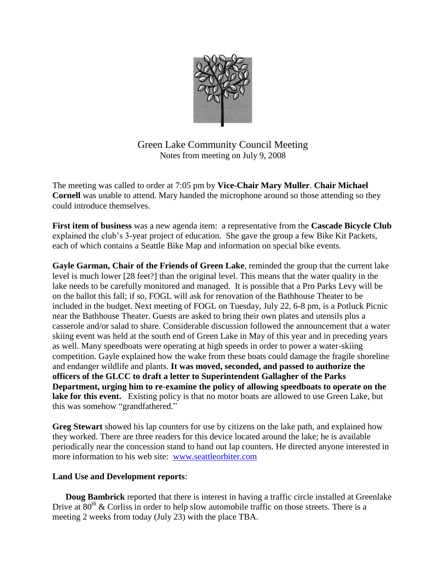

Green Lake Community Council Meeting Notes from meeting on July 9, 2008

The meeting was called to order at 7:05 pm by **Vice-Chair Mary Muller**. **Chair Michael Cornell** was unable to attend. Mary handed the microphone around so those attending so they could introduce themselves.

**First item of business** was a new agenda item: a representative from the **Cascade Bicycle Club** explained the club's 3-year project of education. She gave the group a few Bike Kit Packets, each of which contains a Seattle Bike Map and information on special bike events.

**Gayle Garman, Chair of the Friends of Green Lake**, reminded the group that the current lake level is much lower [28 feet?] than the original level. This means that the water quality in the lake needs to be carefully monitored and managed. It is possible that a Pro Parks Levy will be on the ballot this fall; if so, FOGL will ask for renovation of the Bathhouse Theater to be included in the budget. Next meeting of FOGL on Tuesday, July 22, 6-8 pm, is a Potluck Picnic near the Bathhouse Theater. Guests are asked to bring their own plates and utensils plus a casserole and/or salad to share. Considerable discussion followed the announcement that a water skiing event was held at the south end of Green Lake in May of this year and in preceding years as well. Many speedboats were operating at high speeds in order to power a water-skiing competition. Gayle explained how the wake from these boats could damage the fragile shoreline and endanger wildlife and plants. **It was moved, seconded, and passed to authorize the officers of the GLCC to draft a letter to Superintendent Gallagher of the Parks Department, urging him to re-examine the policy of allowing speedboats to operate on the lake for this event.** Existing policy is that no motor boats are allowed to use Green Lake, but this was somehow "grandfathered."

**Greg Stewart** showed his lap counters for use by citizens on the lake path, and explained how they worked. There are three readers for this device located around the lake; he is available periodically near the concession stand to hand out lap counters. He directed anyone interested in more information to his web site: [www.seattleorbiter.com](http://www.seattleorbiter.com/)

## **Land Use and Development reports**:

**Doug Bambrick** reported that there is interest in having a traffic circle installed at Greenlake Drive at  $80^{th}$  & Corliss in order to help slow automobile traffic on those streets. There is a meeting 2 weeks from today (July 23) with the place TBA.